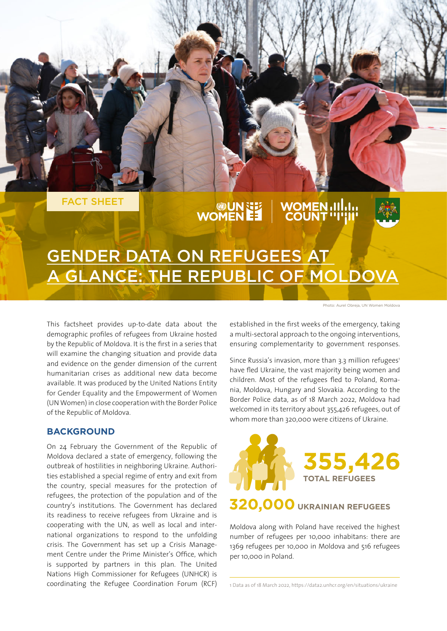

# **UN THE WOMEN III.I.**<br>"WOMEN ET VOUNT "I'II"



## GENDER DATA ON REFUGEES AT A GLANCE: THE REPUBLIC OF MOLDOVA

This factsheet provides up-to-date data about the demographic profiles of refugees from Ukraine hosted by the Republic of Moldova. It is the first in a series that will examine the changing situation and provide data and evidence on the gender dimension of the current humanitarian crises as additional new data become available. It was produced by the United Nations Entity for Gender Equality and the Empowerment of Women (UN Women) in close cooperation with the Border Police of the Republic of Moldova.

#### **BACKGROUND**

On 24 February the Government of the Republic of Moldova declared a state of emergency, following the outbreak of hostilities in neighboring Ukraine. Authorities established a special regime of entry and exit from the country, special measures for the protection of refugees, the protection of the population and of the country's institutions. The Government has declared its readiness to receive refugees from Ukraine and is cooperating with the UN, as well as local and international organizations to respond to the unfolding crisis. The Government has set up a Crisis Management Centre under the Prime Minister's Office, which is supported by partners in this plan. The United Nations High Commissioner for Refugees (UNHCR) is coordinating the Refugee Coordination Forum (RCF) Photo: Aurel Obreja, UN Women Moldova

established in the first weeks of the emergency, taking a multi-sectoral approach to the ongoing interventions, ensuring complementarity to government responses.

Since Russia's invasion, more than 3.3 million refugees<sup>1</sup> have fled Ukraine, the vast majority being women and children. Most of the refugees fled to Poland, Romania, Moldova, Hungary and Slovakia. According to the Border Police data, as of 18 March 2022, Moldova had welcomed in its territory about 355,426 refugees, out of whom more than 320,000 were citizens of Ukraine.



Moldova along with Poland have received the highest number of refugees per 10,000 inhabitans: there are 1369 refugees per 10,000 in Moldova and 516 refugees per 10,000 in Poland.

1 Data as of 18 March 2022, https://data2.unhcr.org/en/situations/ukraine